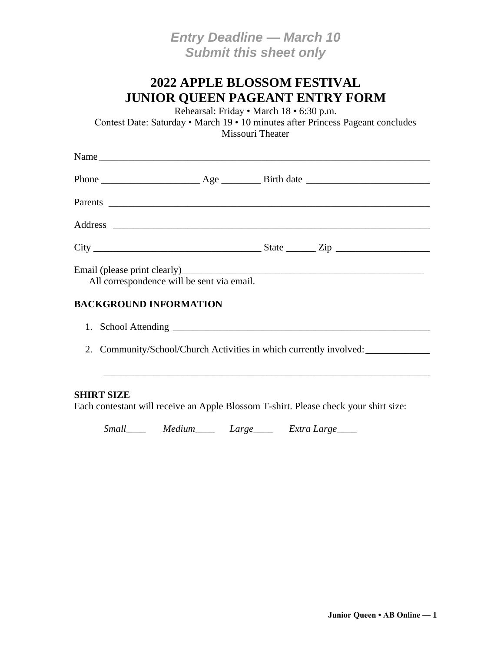*Entry Deadline — March 10 Submit this sheet only*

## **2022 APPLE BLOSSOM FESTIVAL JUNIOR QUEEN PAGEANT ENTRY FORM**

Rehearsal: Friday • March 18 • 6:30 p.m.

Contest Date: Saturday • March 19 • 10 minutes after Princess Pageant concludes Missouri Theater

| Name                                                               |  |  |  |  |
|--------------------------------------------------------------------|--|--|--|--|
|                                                                    |  |  |  |  |
|                                                                    |  |  |  |  |
|                                                                    |  |  |  |  |
|                                                                    |  |  |  |  |
| All correspondence will be sent via email.                         |  |  |  |  |
| <b>BACKGROUND INFORMATION</b>                                      |  |  |  |  |
|                                                                    |  |  |  |  |
| 2. Community/School/Church Activities in which currently involved: |  |  |  |  |
|                                                                    |  |  |  |  |
|                                                                    |  |  |  |  |

#### **SHIRT SIZE**

Each contestant will receive an Apple Blossom T-shirt. Please check your shirt size:

*Small\_\_\_\_ Medium\_\_\_\_ Large\_\_\_\_ Extra Large\_\_\_\_*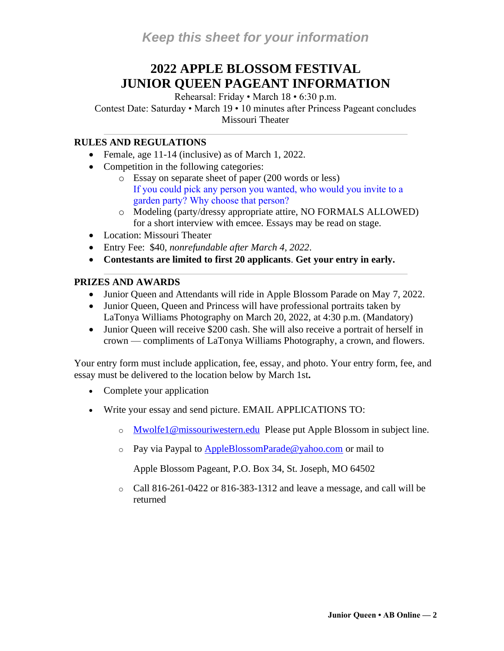# **2022 APPLE BLOSSOM FESTIVAL JUNIOR QUEEN PAGEANT INFORMATION**

Rehearsal: Friday • March 18 • 6:30 p.m.

Contest Date: Saturday • March 19 • 10 minutes after Princess Pageant concludes Missouri Theater

#### **RULES AND REGULATIONS**

- Female, age 11-14 (inclusive) as of March 1, 2022.
- Competition in the following categories:
	- o Essay on separate sheet of paper (200 words or less) If you could pick any person you wanted, who would you invite to a garden party? Why choose that person?
	- o Modeling (party/dressy appropriate attire, NO FORMALS ALLOWED) for a short interview with emcee. Essays may be read on stage.
- Location: Missouri Theater
- Entry Fee: \$40, *nonrefundable after March 4, 2022*.
- **Contestants are limited to first 20 applicants**. **Get your entry in early.**

#### **PRIZES AND AWARDS**

- Junior Queen and Attendants will ride in Apple Blossom Parade on May 7, 2022.
- Junior Queen, Queen and Princess will have professional portraits taken by LaTonya Williams Photography on March 20, 2022, at 4:30 p.m. (Mandatory)
- Junior Queen will receive \$200 cash. She will also receive a portrait of herself in crown — compliments of LaTonya Williams Photography, a crown, and flowers.

Your entry form must include application, fee, essay, and photo. Your entry form, fee, and essay must be delivered to the location below by March 1st**.**

- Complete your application
- Write your essay and send picture. EMAIL APPLICATIONS TO:
	- o [Mwolfe1@missouriwestern.edu](mailto:Mwolfe1@missouriwestern.edu) Please put Apple Blossom in subject line.
	- o Pay via Paypal to [AppleBlossomParade@yahoo.com](mailto:AppleBlossomParade@yahoo.com) or mail to

Apple Blossom Pageant, P.O. Box 34, St. Joseph, MO 64502

o Call 816-261-0422 or 816-383-1312 and leave a message, and call will be returned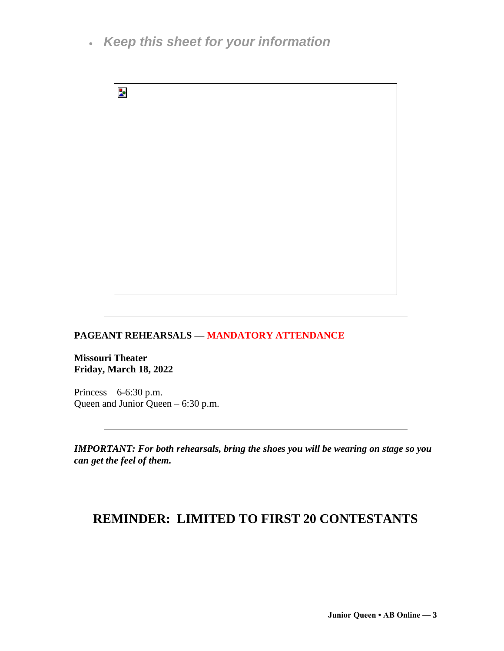• *Keep this sheet for your information*



### **PAGEANT REHEARSALS — MANDATORY ATTENDANCE**

**Missouri Theater Friday, March 18, 2022**

Princess – 6-6:30 p.m. Queen and Junior Queen – 6:30 p.m.

*IMPORTANT: For both rehearsals, bring the shoes you will be wearing on stage so you can get the feel of them.*

## **REMINDER: LIMITED TO FIRST 20 CONTESTANTS**